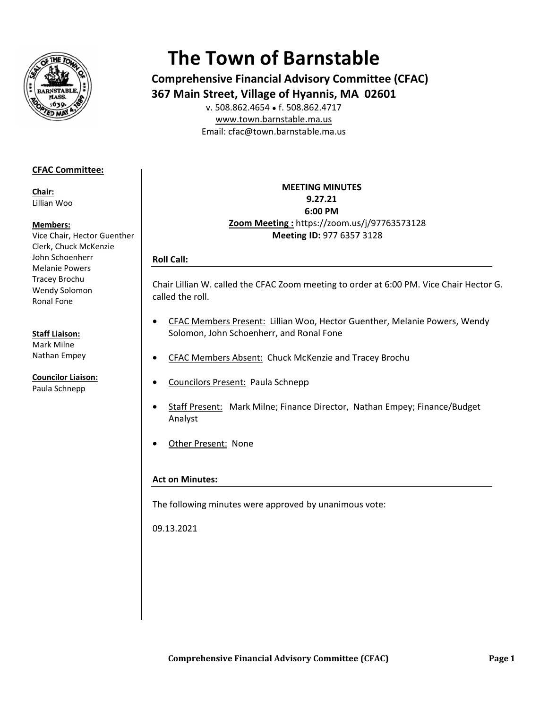

# **The Town of Barnstable**

**Comprehensive Financial Advisory Committee (CFAC) 367 Main Street, Village of Hyannis, MA 02601** 

E Email: cfac@t town.barnsta ble.ma.us v. 508.862.46 654 ● f. 508.8 862.4717 www.town.barnstable.ma.us

# **CFAC C Committee: :**

**Chair r:**  Lillian n Woo

## **Mem mbers:**

Vice C Chair, Hector G Guenther Clerk, Chuck McKenzie John Schoenherr Mela nie Powers Trace ey Brochu Wend dy Solomon Rona l Fone

## **Staff Liaison:**

Mark k Milne Natha an Empey

**Coun cilor Liaison:**  Paula a Schnepp

**Zoom M Meeting :** htt tps://zoom.us s/j/97763573 3128 **MEETI ING MINUTES S9 9.27.21 6 6:00 PM Meeting ID: 977 6357 3128** 

# **R Roll Call:**

Chair Lillian W. called the CFAC Zoom meeting to order at 6:00 PM. Vice Chair Hector G. c called the rol l.

- • CFAC Members Present: Lillian Woo, Hector Guenther, Melanie Powers, Wendy Solomon, John Schoenherr, and Ronal Fone
- • CFAC Members Absent: Chuck McKenzie and Tracey Brochu
- **•** Councilors Present: Paula Schnepp
- • Staff Present: Mark Milne; Finance Director, Nathan Empey; Finance/Budget Analyst
- • Other Present: None

## **A Act on Minut tes:**

The following minutes were approved by unanimous vote:

0 09.13.2021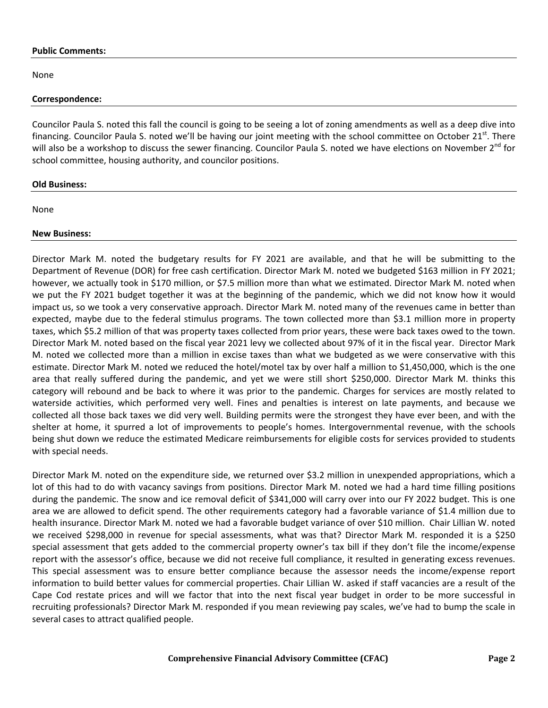#### **Public Comments:**

None

#### **Correspondence:**

Councilor Paula S. noted this fall the council is going to be seeing a lot of zoning amendments as well as a deep dive into financing. Councilor Paula S. noted we'll be having our joint meeting with the school committee on October  $21<sup>st</sup>$ . There will also be a workshop to discuss the sewer financing. Councilor Paula S. noted we have elections on November 2<sup>nd</sup> for school committee, housing authority, and councilor positions.

#### **Old Business:**

None

#### **New Business:**

Director Mark M. noted the budgetary results for FY 2021 are available, and that he will be submitting to the Department of Revenue (DOR) for free cash certification. Director Mark M. noted we budgeted \$163 million in FY 2021; however, we actually took in \$170 million, or \$7.5 million more than what we estimated. Director Mark M. noted when we put the FY 2021 budget together it was at the beginning of the pandemic, which we did not know how it would impact us, so we took a very conservative approach. Director Mark M. noted many of the revenues came in better than expected, maybe due to the federal stimulus programs. The town collected more than \$3.1 million more in property taxes, which \$5.2 million of that was property taxes collected from prior years, these were back taxes owed to the town. Director Mark M. noted based on the fiscal year 2021 levy we collected about 97% of it in the fiscal year. Director Mark M. noted we collected more than a million in excise taxes than what we budgeted as we were conservative with this estimate. Director Mark M. noted we reduced the hotel/motel tax by over half a million to \$1,450,000, which is the one area that really suffered during the pandemic, and yet we were still short \$250,000. Director Mark M. thinks this category will rebound and be back to where it was prior to the pandemic. Charges for services are mostly related to waterside activities, which performed very well. Fines and penalties is interest on late payments, and because we collected all those back taxes we did very well. Building permits were the strongest they have ever been, and with the shelter at home, it spurred a lot of improvements to people's homes. Intergovernmental revenue, with the schools being shut down we reduce the estimated Medicare reimbursements for eligible costs for services provided to students with special needs.

Director Mark M. noted on the expenditure side, we returned over \$3.2 million in unexpended appropriations, which a lot of this had to do with vacancy savings from positions. Director Mark M. noted we had a hard time filling positions during the pandemic. The snow and ice removal deficit of \$341,000 will carry over into our FY 2022 budget. This is one area we are allowed to deficit spend. The other requirements category had a favorable variance of \$1.4 million due to health insurance. Director Mark M. noted we had a favorable budget variance of over \$10 million. Chair Lillian W. noted we received \$298,000 in revenue for special assessments, what was that? Director Mark M. responded it is a \$250 special assessment that gets added to the commercial property owner's tax bill if they don't file the income/expense report with the assessor's office, because we did not receive full compliance, it resulted in generating excess revenues. This special assessment was to ensure better compliance because the assessor needs the income/expense report information to build better values for commercial properties. Chair Lillian W. asked if staff vacancies are a result of the Cape Cod restate prices and will we factor that into the next fiscal year budget in order to be more successful in recruiting professionals? Director Mark M. responded if you mean reviewing pay scales, we've had to bump the scale in several cases to attract qualified people.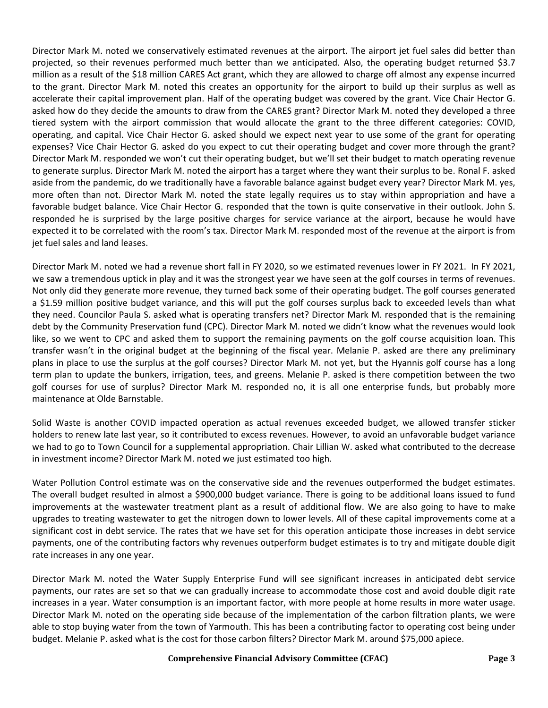Director Mark M. noted we conservatively estimated revenues at the airport. The airport jet fuel sales did better than projected, so their revenues performed much better than we anticipated. Also, the operating budget returned \$3.7 million as a result of the \$18 million CARES Act grant, which they are allowed to charge off almost any expense incurred to the grant. Director Mark M. noted this creates an opportunity for the airport to build up their surplus as well as accelerate their capital improvement plan. Half of the operating budget was covered by the grant. Vice Chair Hector G. asked how do they decide the amounts to draw from the CARES grant? Director Mark M. noted they developed a three tiered system with the airport commission that would allocate the grant to the three different categories: COVID, operating, and capital. Vice Chair Hector G. asked should we expect next year to use some of the grant for operating expenses? Vice Chair Hector G. asked do you expect to cut their operating budget and cover more through the grant? Director Mark M. responded we won't cut their operating budget, but we'll set their budget to match operating revenue to generate surplus. Director Mark M. noted the airport has a target where they want their surplus to be. Ronal F. asked aside from the pandemic, do we traditionally have a favorable balance against budget every year? Director Mark M. yes, more often than not. Director Mark M. noted the state legally requires us to stay within appropriation and have a favorable budget balance. Vice Chair Hector G. responded that the town is quite conservative in their outlook. John S. responded he is surprised by the large positive charges for service variance at the airport, because he would have expected it to be correlated with the room's tax. Director Mark M. responded most of the revenue at the airport is from jet fuel sales and land leases.

Director Mark M. noted we had a revenue short fall in FY 2020, so we estimated revenues lower in FY 2021. In FY 2021, we saw a tremendous uptick in play and it was the strongest year we have seen at the golf courses in terms of revenues. Not only did they generate more revenue, they turned back some of their operating budget. The golf courses generated a \$1.59 million positive budget variance, and this will put the golf courses surplus back to exceeded levels than what they need. Councilor Paula S. asked what is operating transfers net? Director Mark M. responded that is the remaining debt by the Community Preservation fund (CPC). Director Mark M. noted we didn't know what the revenues would look like, so we went to CPC and asked them to support the remaining payments on the golf course acquisition loan. This transfer wasn't in the original budget at the beginning of the fiscal year. Melanie P. asked are there any preliminary plans in place to use the surplus at the golf courses? Director Mark M. not yet, but the Hyannis golf course has a long term plan to update the bunkers, irrigation, tees, and greens. Melanie P. asked is there competition between the two golf courses for use of surplus? Director Mark M. responded no, it is all one enterprise funds, but probably more maintenance at Olde Barnstable.

Solid Waste is another COVID impacted operation as actual revenues exceeded budget, we allowed transfer sticker holders to renew late last year, so it contributed to excess revenues. However, to avoid an unfavorable budget variance we had to go to Town Council for a supplemental appropriation. Chair Lillian W. asked what contributed to the decrease in investment income? Director Mark M. noted we just estimated too high.

Water Pollution Control estimate was on the conservative side and the revenues outperformed the budget estimates. The overall budget resulted in almost a \$900,000 budget variance. There is going to be additional loans issued to fund improvements at the wastewater treatment plant as a result of additional flow. We are also going to have to make upgrades to treating wastewater to get the nitrogen down to lower levels. All of these capital improvements come at a significant cost in debt service. The rates that we have set for this operation anticipate those increases in debt service payments, one of the contributing factors why revenues outperform budget estimates is to try and mitigate double digit rate increases in any one year.

Director Mark M. noted the Water Supply Enterprise Fund will see significant increases in anticipated debt service payments, our rates are set so that we can gradually increase to accommodate those cost and avoid double digit rate increases in a year. Water consumption is an important factor, with more people at home results in more water usage. Director Mark M. noted on the operating side because of the implementation of the carbon filtration plants, we were able to stop buying water from the town of Yarmouth. This has been a contributing factor to operating cost being under budget. Melanie P. asked what is the cost for those carbon filters? Director Mark M. around \$75,000 apiece.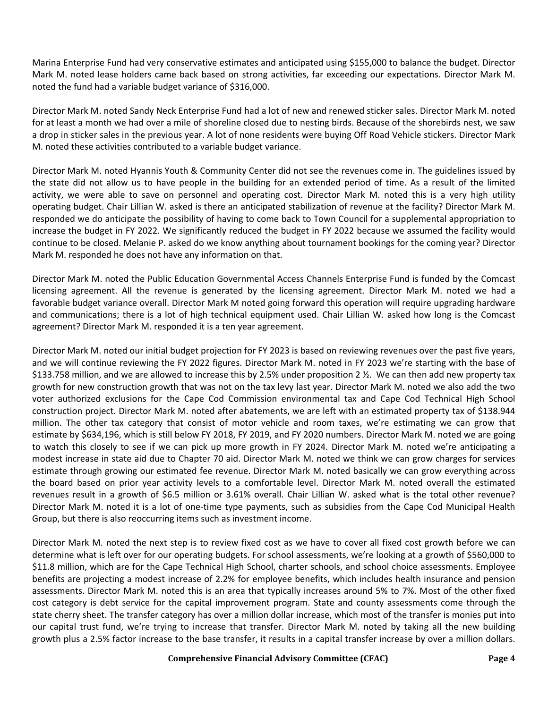Marina Enterprise Fund had very conservative estimates and anticipated using \$155,000 to balance the budget. Director Mark M. noted lease holders came back based on strong activities, far exceeding our expectations. Director Mark M. noted the fund had a variable budget variance of \$316,000.

Director Mark M. noted Sandy Neck Enterprise Fund had a lot of new and renewed sticker sales. Director Mark M. noted for at least a month we had over a mile of shoreline closed due to nesting birds. Because of the shorebirds nest, we saw a drop in sticker sales in the previous year. A lot of none residents were buying Off Road Vehicle stickers. Director Mark M. noted these activities contributed to a variable budget variance.

Director Mark M. noted Hyannis Youth & Community Center did not see the revenues come in. The guidelines issued by the state did not allow us to have people in the building for an extended period of time. As a result of the limited activity, we were able to save on personnel and operating cost. Director Mark M. noted this is a very high utility operating budget. Chair Lillian W. asked is there an anticipated stabilization of revenue at the facility? Director Mark M. responded we do anticipate the possibility of having to come back to Town Council for a supplemental appropriation to increase the budget in FY 2022. We significantly reduced the budget in FY 2022 because we assumed the facility would continue to be closed. Melanie P. asked do we know anything about tournament bookings for the coming year? Director Mark M. responded he does not have any information on that.

Director Mark M. noted the Public Education Governmental Access Channels Enterprise Fund is funded by the Comcast licensing agreement. All the revenue is generated by the licensing agreement. Director Mark M. noted we had a favorable budget variance overall. Director Mark M noted going forward this operation will require upgrading hardware and communications; there is a lot of high technical equipment used. Chair Lillian W. asked how long is the Comcast agreement? Director Mark M. responded it is a ten year agreement.

Director Mark M. noted our initial budget projection for FY 2023 is based on reviewing revenues over the past five years, and we will continue reviewing the FY 2022 figures. Director Mark M. noted in FY 2023 we're starting with the base of \$133.758 million, and we are allowed to increase this by 2.5% under proposition 2 ½. We can then add new property tax growth for new construction growth that was not on the tax levy last year. Director Mark M. noted we also add the two voter authorized exclusions for the Cape Cod Commission environmental tax and Cape Cod Technical High School construction project. Director Mark M. noted after abatements, we are left with an estimated property tax of \$138.944 million. The other tax category that consist of motor vehicle and room taxes, we're estimating we can grow that estimate by \$634,196, which is still below FY 2018, FY 2019, and FY 2020 numbers. Director Mark M. noted we are going to watch this closely to see if we can pick up more growth in FY 2024. Director Mark M. noted we're anticipating a modest increase in state aid due to Chapter 70 aid. Director Mark M. noted we think we can grow charges for services estimate through growing our estimated fee revenue. Director Mark M. noted basically we can grow everything across the board based on prior year activity levels to a comfortable level. Director Mark M. noted overall the estimated revenues result in a growth of \$6.5 million or 3.61% overall. Chair Lillian W. asked what is the total other revenue? Director Mark M. noted it is a lot of one-time type payments, such as subsidies from the Cape Cod Municipal Health Group, but there is also reoccurring items such as investment income.

Director Mark M. noted the next step is to review fixed cost as we have to cover all fixed cost growth before we can determine what is left over for our operating budgets. For school assessments, we're looking at a growth of \$560,000 to \$11.8 million, which are for the Cape Technical High School, charter schools, and school choice assessments. Employee benefits are projecting a modest increase of 2.2% for employee benefits, which includes health insurance and pension assessments. Director Mark M. noted this is an area that typically increases around 5% to 7%. Most of the other fixed cost category is debt service for the capital improvement program. State and county assessments come through the state cherry sheet. The transfer category has over a million dollar increase, which most of the transfer is monies put into our capital trust fund, we're trying to increase that transfer. Director Mark M. noted by taking all the new building growth plus a 2.5% factor increase to the base transfer, it results in a capital transfer increase by over a million dollars.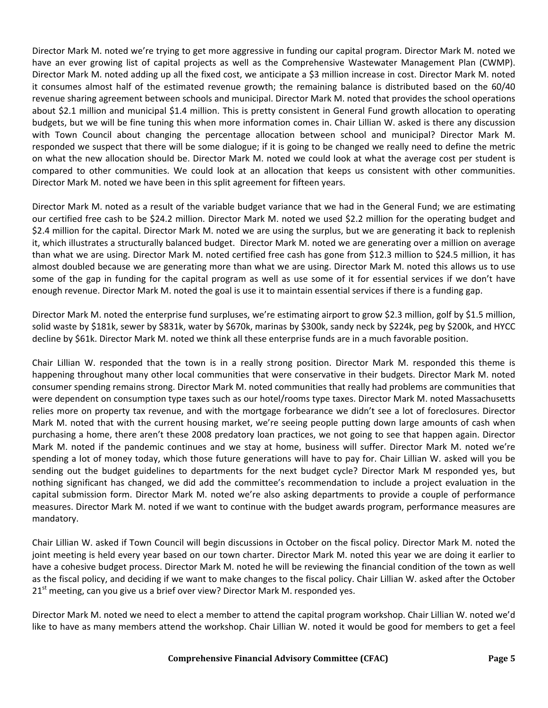Director Mark M. noted we're trying to get more aggressive in funding our capital program. Director Mark M. noted we have an ever growing list of capital projects as well as the Comprehensive Wastewater Management Plan (CWMP). Director Mark M. noted adding up all the fixed cost, we anticipate a \$3 million increase in cost. Director Mark M. noted it consumes almost half of the estimated revenue growth; the remaining balance is distributed based on the 60/40 revenue sharing agreement between schools and municipal. Director Mark M. noted that provides the school operations about \$2.1 million and municipal \$1.4 million. This is pretty consistent in General Fund growth allocation to operating budgets, but we will be fine tuning this when more information comes in. Chair Lillian W. asked is there any discussion with Town Council about changing the percentage allocation between school and municipal? Director Mark M. responded we suspect that there will be some dialogue; if it is going to be changed we really need to define the metric on what the new allocation should be. Director Mark M. noted we could look at what the average cost per student is compared to other communities. We could look at an allocation that keeps us consistent with other communities. Director Mark M. noted we have been in this split agreement for fifteen years.

Director Mark M. noted as a result of the variable budget variance that we had in the General Fund; we are estimating our certified free cash to be \$24.2 million. Director Mark M. noted we used \$2.2 million for the operating budget and \$2.4 million for the capital. Director Mark M. noted we are using the surplus, but we are generating it back to replenish it, which illustrates a structurally balanced budget. Director Mark M. noted we are generating over a million on average than what we are using. Director Mark M. noted certified free cash has gone from \$12.3 million to \$24.5 million, it has almost doubled because we are generating more than what we are using. Director Mark M. noted this allows us to use some of the gap in funding for the capital program as well as use some of it for essential services if we don't have enough revenue. Director Mark M. noted the goal is use it to maintain essential services if there is a funding gap.

Director Mark M. noted the enterprise fund surpluses, we're estimating airport to grow \$2.3 million, golf by \$1.5 million, solid waste by \$181k, sewer by \$831k, water by \$670k, marinas by \$300k, sandy neck by \$224k, peg by \$200k, and HYCC decline by \$61k. Director Mark M. noted we think all these enterprise funds are in a much favorable position.

Chair Lillian W. responded that the town is in a really strong position. Director Mark M. responded this theme is happening throughout many other local communities that were conservative in their budgets. Director Mark M. noted consumer spending remains strong. Director Mark M. noted communities that really had problems are communities that were dependent on consumption type taxes such as our hotel/rooms type taxes. Director Mark M. noted Massachusetts relies more on property tax revenue, and with the mortgage forbearance we didn't see a lot of foreclosures. Director Mark M. noted that with the current housing market, we're seeing people putting down large amounts of cash when purchasing a home, there aren't these 2008 predatory loan practices, we not going to see that happen again. Director Mark M. noted if the pandemic continues and we stay at home, business will suffer. Director Mark M. noted we're spending a lot of money today, which those future generations will have to pay for. Chair Lillian W. asked will you be sending out the budget guidelines to departments for the next budget cycle? Director Mark M responded yes, but nothing significant has changed, we did add the committee's recommendation to include a project evaluation in the capital submission form. Director Mark M. noted we're also asking departments to provide a couple of performance measures. Director Mark M. noted if we want to continue with the budget awards program, performance measures are mandatory.

Chair Lillian W. asked if Town Council will begin discussions in October on the fiscal policy. Director Mark M. noted the joint meeting is held every year based on our town charter. Director Mark M. noted this year we are doing it earlier to have a cohesive budget process. Director Mark M. noted he will be reviewing the financial condition of the town as well as the fiscal policy, and deciding if we want to make changes to the fiscal policy. Chair Lillian W. asked after the October  $21<sup>st</sup>$  meeting, can you give us a brief over view? Director Mark M. responded yes.

Director Mark M. noted we need to elect a member to attend the capital program workshop. Chair Lillian W. noted we'd like to have as many members attend the workshop. Chair Lillian W. noted it would be good for members to get a feel